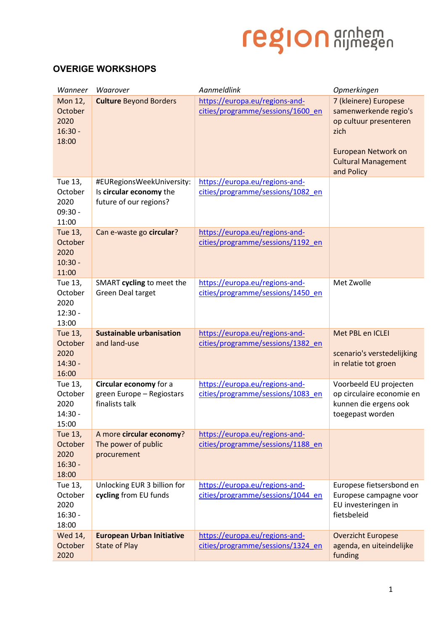## region arnhem

## **OVERIGE WORKSHOPS**

| Wanneer                                                 | Waarover                                                                       | Aanmeldlink                                                         | Opmerkingen                                                                                                                                         |
|---------------------------------------------------------|--------------------------------------------------------------------------------|---------------------------------------------------------------------|-----------------------------------------------------------------------------------------------------------------------------------------------------|
| <b>Mon 12,</b><br>October<br>2020<br>$16:30 -$<br>18:00 | <b>Culture Beyond Borders</b>                                                  | https://europa.eu/regions-and-<br>cities/programme/sessions/1600 en | 7 (kleinere) Europese<br>samenwerkende regio's<br>op cultuur presenteren<br>zich<br>European Network on<br><b>Cultural Management</b><br>and Policy |
| Tue 13,<br>October<br>2020<br>$09:30 -$<br>11:00        | #EURegionsWeekUniversity:<br>Is circular economy the<br>future of our regions? | https://europa.eu/regions-and-<br>cities/programme/sessions/1082_en |                                                                                                                                                     |
| Tue 13,<br>October<br>2020<br>$10:30 -$<br>11:00        | Can e-waste go circular?                                                       | https://europa.eu/regions-and-<br>cities/programme/sessions/1192_en |                                                                                                                                                     |
| Tue 13,<br>October<br>2020<br>$12:30 -$<br>13:00        | SMART cycling to meet the<br><b>Green Deal target</b>                          | https://europa.eu/regions-and-<br>cities/programme/sessions/1450 en | Met Zwolle                                                                                                                                          |
| Tue 13,<br>October<br>2020<br>$14:30 -$<br>16:00        | <b>Sustainable urbanisation</b><br>and land-use                                | https://europa.eu/regions-and-<br>cities/programme/sessions/1382 en | Met PBL en ICLEI<br>scenario's verstedelijking<br>in relatie tot groen                                                                              |
| Tue 13,<br>October<br>2020<br>$14:30 -$<br>15:00        | Circular economy for a<br>green Europe - Regiostars<br>finalists talk          | https://europa.eu/regions-and-<br>cities/programme/sessions/1083_en | Voorbeeld EU projecten<br>op circulaire economie en<br>kunnen die ergens ook<br>toegepast worden                                                    |
| Tue 13,<br>October<br>2020<br>$16:30 -$<br>18:00        | A more circular economy?<br>The power of public<br>procurement                 | https://europa.eu/regions-and-<br>cities/programme/sessions/1188 en |                                                                                                                                                     |
| Tue 13,<br>October<br>2020<br>$16:30 -$<br>18:00        | Unlocking EUR 3 billion for<br>cycling from EU funds                           | https://europa.eu/regions-and-<br>cities/programme/sessions/1044 en | Europese fietsersbond en<br>Europese campagne voor<br>EU investeringen in<br>fietsbeleid                                                            |
| Wed 14,<br>October<br>2020                              | <b>European Urban Initiative</b><br><b>State of Play</b>                       | https://europa.eu/regions-and-<br>cities/programme/sessions/1324 en | <b>Overzicht Europese</b><br>agenda, en uiteindelijke<br>funding                                                                                    |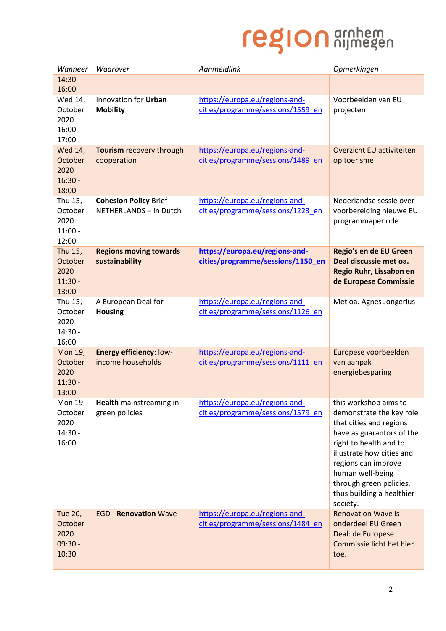## region arnhem

| Wanneer                                          | Waarover                                               | Aanmeldlink                                                         | Opmerkingen                                                                                                                                                                                                                                                                     |
|--------------------------------------------------|--------------------------------------------------------|---------------------------------------------------------------------|---------------------------------------------------------------------------------------------------------------------------------------------------------------------------------------------------------------------------------------------------------------------------------|
| $14:30 -$                                        |                                                        |                                                                     |                                                                                                                                                                                                                                                                                 |
| 16:00                                            |                                                        |                                                                     |                                                                                                                                                                                                                                                                                 |
| Wed 14,<br>October<br>2020<br>$16:00 -$<br>17:00 | Innovation for Urban<br><b>Mobility</b>                | https://europa.eu/regions-and-<br>cities/programme/sessions/1559 en | Voorbeelden van EU<br>projecten                                                                                                                                                                                                                                                 |
| Wed 14,<br>October<br>2020<br>$16:30 -$<br>18:00 | Tourism recovery through<br>cooperation                | https://europa.eu/regions-and-<br>cities/programme/sessions/1489 en | Overzicht EU activiteiten<br>op toerisme                                                                                                                                                                                                                                        |
| Thu 15,<br>October<br>2020<br>$11:00 -$<br>12:00 | <b>Cohesion Policy Brief</b><br>NETHERLANDS - in Dutch | https://europa.eu/regions-and-<br>cities/programme/sessions/1223 en | Nederlandse sessie over<br>voorbereiding nieuwe EU<br>programmaperiode                                                                                                                                                                                                          |
| Thu 15,<br>October<br>2020<br>$11:30 -$<br>13:00 | <b>Regions moving towards</b><br>sustainability        | https://europa.eu/regions-and-<br>cities/programme/sessions/1150_en | Regio's en de EU Green<br>Deal discussie met oa.<br>Regio Ruhr, Lissabon en<br>de Europese Commissie                                                                                                                                                                            |
| Thu 15,<br>October<br>2020<br>$14:30 -$<br>16:00 | A European Deal for<br><b>Housing</b>                  | https://europa.eu/regions-and-<br>cities/programme/sessions/1126 en | Met oa. Agnes Jongerius                                                                                                                                                                                                                                                         |
| Mon 19,<br>October<br>2020<br>$11:30 -$<br>13:00 | <b>Energy efficiency: low-</b><br>income households    | https://europa.eu/regions-and-<br>cities/programme/sessions/1111 en | Europese voorbeelden<br>van aanpak<br>energiebesparing                                                                                                                                                                                                                          |
| Mon 19,<br>October<br>2020<br>$14:30 -$<br>16:00 | Health mainstreaming in<br>green policies              | https://europa.eu/regions-and-<br>cities/programme/sessions/1579 en | this workshop aims to<br>demonstrate the key role<br>that cities and regions<br>have as guarantors of the<br>right to health and to<br>illustrate how cities and<br>regions can improve<br>human well-being<br>through green policies,<br>thus building a healthier<br>society. |
| Tue 20,<br>October<br>2020<br>$09:30 -$<br>10:30 | <b>EGD - Renovation Wave</b>                           | https://europa.eu/regions-and-<br>cities/programme/sessions/1484 en | <b>Renovation Wave is</b><br>onderdeel EU Green<br>Deal: de Europese<br>Commissie licht het hier<br>toe.                                                                                                                                                                        |